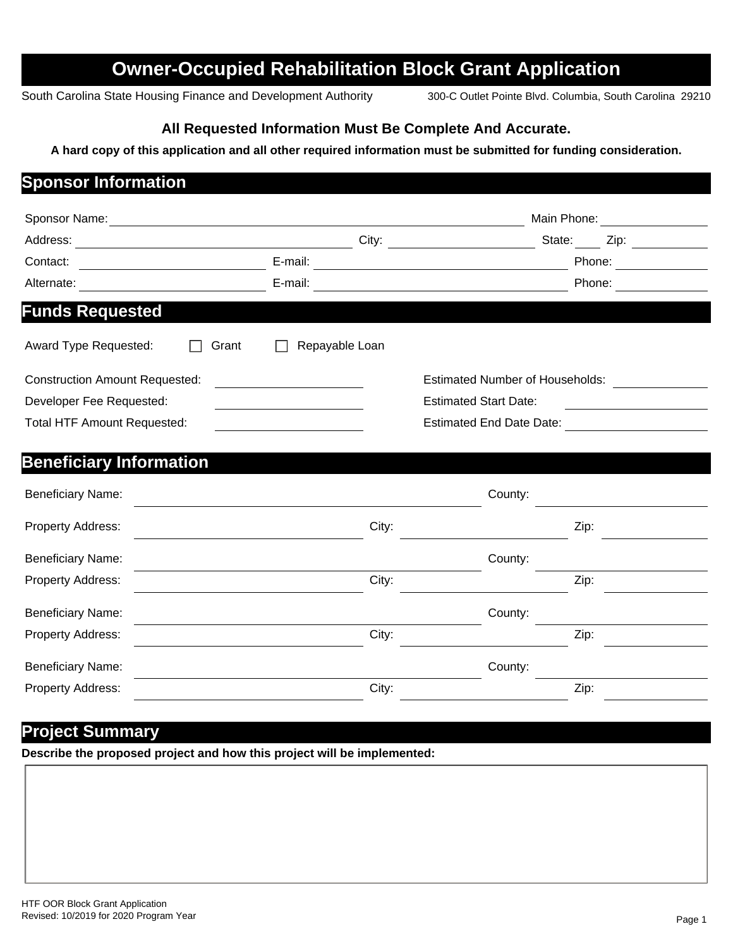# **Owner-Occupied Rehabilitation Block Grant Application**

South Carolina State Housing Finance and Development Authority 300-C Outlet Pointe Blvd. Columbia, South Carolina 29210

#### **All Requested Information Must Be Complete And Accurate.**

#### **A hard copy of this application and all other required information must be submitted for funding consideration.**

### **Sponsor Information**

| Sponsor Name:                         |                | Main Phone:                                                                               |        |  |
|---------------------------------------|----------------|-------------------------------------------------------------------------------------------|--------|--|
| Address:                              | City:          | State:                                                                                    | Zip:   |  |
| Contact:                              | E-mail:        | the control of the control of the control of the control of the control of the control of | Phone: |  |
| Alternate:                            | E-mail:        |                                                                                           | Phone: |  |
| <b>Funds Requested</b>                |                |                                                                                           |        |  |
| Award Type Requested:<br>Grant        | Repayable Loan |                                                                                           |        |  |
| <b>Construction Amount Requested:</b> |                | <b>Estimated Number of Households:</b>                                                    |        |  |
| Developer Fee Requested:              |                | <b>Estimated Start Date:</b>                                                              |        |  |
| <b>Total HTF Amount Requested:</b>    |                | <b>Estimated End Date Date:</b>                                                           |        |  |
| <b>Beneficiary Information</b>        |                |                                                                                           |        |  |
| <b>Beneficiary Name:</b>              |                | County:                                                                                   |        |  |
| <b>Property Address:</b>              | City:          |                                                                                           | Zip:   |  |

| <b>Beneficiary Name:</b> |       | County: |      |
|--------------------------|-------|---------|------|
| Property Address:        | City: |         | Zip: |
| <b>Beneficiary Name:</b> |       | County: |      |
| Property Address:        | City: |         | Zip: |
| <b>Beneficiary Name:</b> |       | County: |      |
| Property Address:        | City: |         | Zip: |

#### **Project Summary**

**Describe the proposed project and how this project will be implemented:**